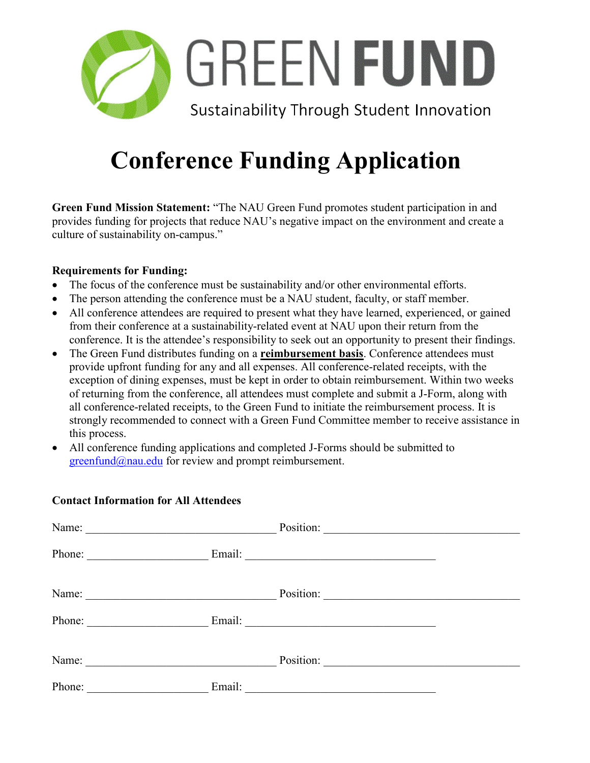

# **Conference Funding Application**

**Green Fund Mission Statement:** "The NAU Green Fund promotes student participation in and provides funding for projects that reduce NAU's negative impact on the environment and create a culture of sustainability on-campus."

### **Requirements for Funding:**

- The focus of the conference must be sustainability and/or other environmental efforts.
- The person attending the conference must be a NAU student, faculty, or staff member.
- All conference attendees are required to present what they have learned, experienced, or gained from their conference at a sustainability-related event at NAU upon their return from the conference. It is the attendee's responsibility to seek out an opportunity to present their findings.
- The Green Fund distributes funding on a **reimbursement basis**. Conference attendees must provide upfront funding for any and all expenses. All conference-related receipts, with the exception of dining expenses, must be kept in order to obtain reimbursement. Within two weeks of returning from the conference, all attendees must complete and submit a J-Form, along with all conference-related receipts, to the Green Fund to initiate the reimbursement process. It is strongly recommended to connect with a Green Fund Committee member to receive assistance in this process.
- All conference funding applications and completed J-Forms should be submitted to  $greenfund@nau.edu$  for review and prompt reimbursement.

| Name:<br><u> 1989 - Johann John Stone, mars eta biztanleria (h. 1989).</u> |        | Position:                                                                                                             |
|----------------------------------------------------------------------------|--------|-----------------------------------------------------------------------------------------------------------------------|
| Phone:                                                                     | Email: |                                                                                                                       |
| Name:<br><u> 1989 - Johann Barbara, martxa alemaniar a</u>                 |        | Position:                                                                                                             |
| Phone:                                                                     | Email: | <u> 1989 - Johann John Stone, markin film yn y brening yn y brening yn y brening yn y brening yn y brening yn y b</u> |
| Name:<br><u> 1980 - Johann Barbara, martxa alemaniar a</u>                 |        | Position:                                                                                                             |
| Phone:                                                                     | Email: |                                                                                                                       |

## **Contact Information for All Attendees**